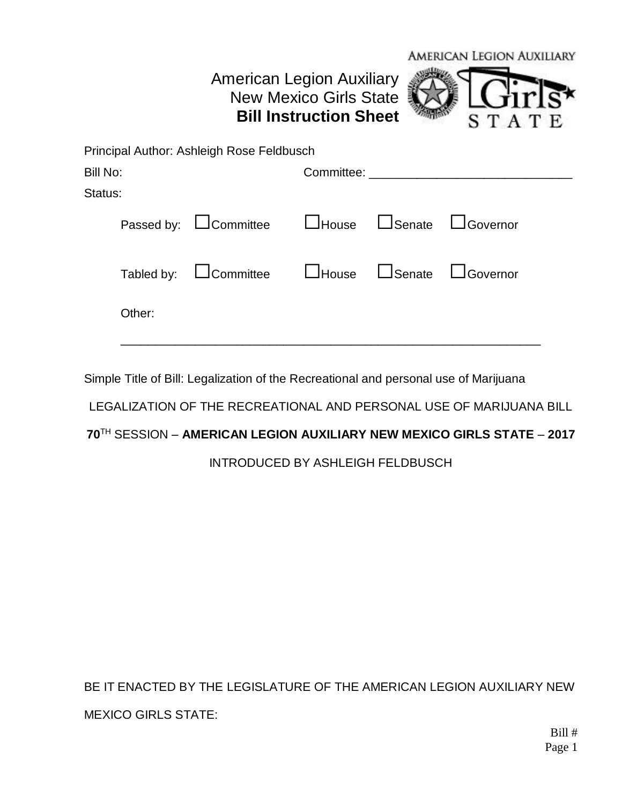## American Legion Auxiliary New Mexico Girls State **Bill Instruction Sheet**



|          | Principal Author: Ashleigh Rose Feldbusch                              |                                     |  |  |
|----------|------------------------------------------------------------------------|-------------------------------------|--|--|
| Bill No: |                                                                        | Committee: ________________________ |  |  |
| Status:  |                                                                        |                                     |  |  |
|          | Passed by: $\Box$ Committee $\Box$ House $\Box$ Senate $\Box$ Governor |                                     |  |  |
|          | Tabled by: L Committee L House L Senate L Governor                     |                                     |  |  |
| Other:   |                                                                        |                                     |  |  |
|          |                                                                        |                                     |  |  |

Simple Title of Bill: Legalization of the Recreational and personal use of Marijuana

LEGALIZATION OF THE RECREATIONAL AND PERSONAL USE OF MARIJUANA BILL

## **70**TH SESSION – **AMERICAN LEGION AUXILIARY NEW MEXICO GIRLS STATE** – **2017**

INTRODUCED BY ASHLEIGH FELDBUSCH

BE IT ENACTED BY THE LEGISLATURE OF THE AMERICAN LEGION AUXILIARY NEW MEXICO GIRLS STATE: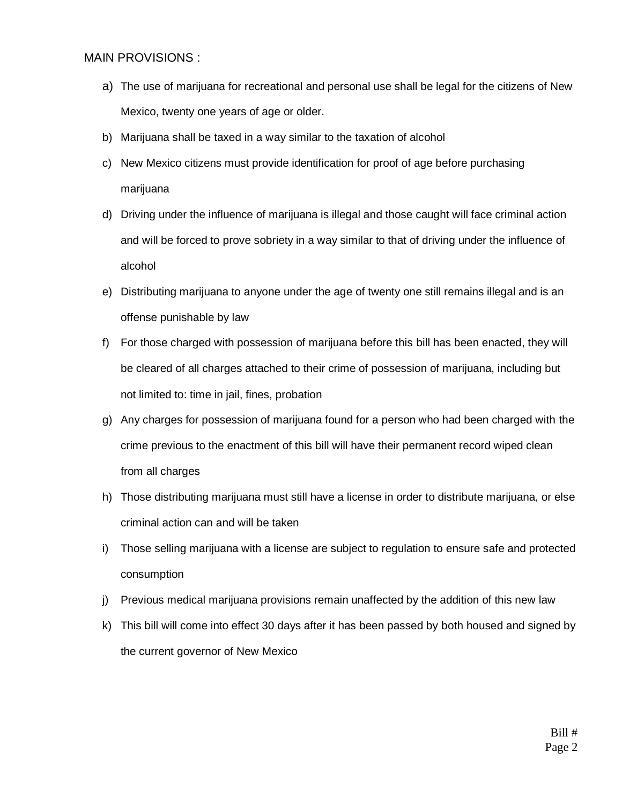## MAIN PROVISIONS :

- a) The use of marijuana for recreational and personal use shall be legal for the citizens of New Mexico, twenty one years of age or older.
- b) Marijuana shall be taxed in a way similar to the taxation of alcohol
- c) New Mexico citizens must provide identification for proof of age before purchasing marijuana
- d) Driving under the influence of marijuana is illegal and those caught will face criminal action and will be forced to prove sobriety in a way similar to that of driving under the influence of alcohol
- e) Distributing marijuana to anyone under the age of twenty one still remains illegal and is an offense punishable by law
- f) For those charged with possession of marijuana before this bill has been enacted, they will be cleared of all charges attached to their crime of possession of marijuana, including but not limited to: time in jail, fines, probation
- g) Any charges for possession of marijuana found for a person who had been charged with the crime previous to the enactment of this bill will have their permanent record wiped clean from all charges
- h) Those distributing marijuana must still have a license in order to distribute marijuana, or else criminal action can and will be taken
- i) Those selling marijuana with a license are subject to regulation to ensure safe and protected consumption
- j) Previous medical marijuana provisions remain unaffected by the addition of this new law
- k) This bill will come into effect 30 days after it has been passed by both housed and signed by the current governor of New Mexico